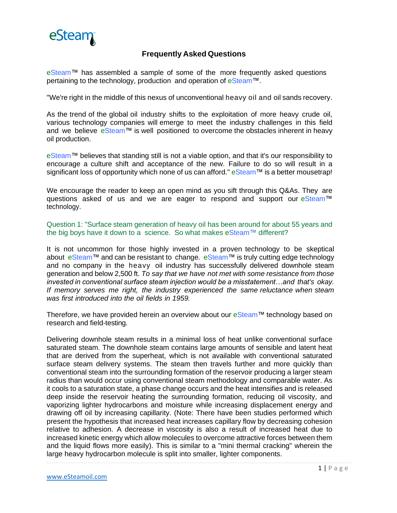

## **Frequently Asked Questions**

eSteam™ has assembled a sample of some of the more frequently asked questions pertaining to the technology, production and operation of eSteam™.

"We're right in the middle of this nexus of unconventional heavy oil and oil sands recovery.

As the trend of the global oil industry shifts to the exploitation of more heavy crude oil, various technology companies will emerge to meet the industry challenges in this field and we believe eSteam™ is well positioned to overcome the obstacles inherent in heavy oil production.

eSteam™ believes that standing still is not a viable option, and that it's our responsibility to encourage a culture shift and acceptance of the new. Failure to do so will result in a significant loss of opportunity which none of us can afford." eSteam™ is a better mousetrap!

We encourage the reader to keep an open mind as you sift through this Q&As. They are questions asked of us and we are eager to respond and support our eSteam™ technology.

Question 1: "Surface steam generation of heavy oil has been around for about 55 years and the big boys have it down to a science. So what makes eSteam™ different?

It is not uncommon for those highly invested in a proven technology to be skeptical about eSteam™ and can be resistant to change. eSteam™ is truly cutting edge technology and no company in the heavy oil industry has successfully delivered downhole steam generation and below 2,500 ft. *To say that we have not met with some resistance from those invested in conventional surface steam injection would be a misstatement…and that's okay. If memory serves me right, the industry experienced the same reluctance when steam was first introduced into the oil fields in 1959.*

Therefore, we have provided herein an overview about our eSteam™ technology based on research and field-testing.

Delivering downhole steam results in a minimal loss of heat unlike conventional surface saturated steam. The downhole steam contains large amounts of sensible and latent heat that are derived from the superheat, which is not available with conventional saturated surface steam delivery systems. The steam then travels further and more quickly than conventional steam into the surrounding formation of the reservoir producing a larger steam radius than would occur using conventional steam methodology and comparable water. As it cools to a saturation state, a phase change occurs and the heat intensifies and is released deep inside the reservoir heating the surrounding formation, reducing oil viscosity, and vaporizing lighter hydrocarbons and moisture while increasing displacement energy and drawing off oil by increasing capillarity. (Note: There have been studies performed which present the hypothesis that increased heat increases capillary flow by decreasing cohesion relative to adhesion. A decrease in viscosity is also a result of increased heat due to increased kinetic energy which allow molecules to overcome attractive forces between them and the liquid flows more easily). This is similar to a "mini thermal cracking" wherein the large heavy hydrocarbon molecule is split into smaller, lighter components.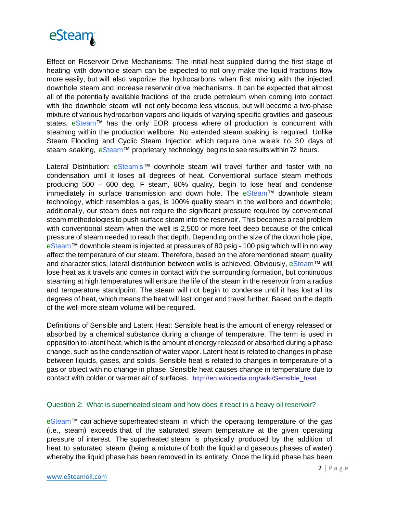

Effect on Reservoir Drive Mechanisms: The initial heat supplied during the first stage of heating with downhole steam can be expected to not only make the liquid fractions flow more easily, but will also vaporize the hydrocarbons when first mixing with the injected downhole steam and increase reservoir drive mechanisms. It can be expected that almost all of the potentially available fractions of the crude petroleum when coming into contact with the downhole steam will not only become less viscous, but will become a two-phase mixture of various hydrocarbon vapors and liquids of varying specific gravities and gaseous states. eSteam™ has the only EOR process where oil production is concurrent with steaming within the production wellbore. No extended steam soaking is required. Unlike Steam Flooding and Cyclic Steam Injection which require one week to 30 days of steam soaking, eSteam™ proprietary technology begins to see results within 72 hours.

Lateral Distribution: eSteam's™ downhole steam will travel further and faster with no condensation until it loses all degrees of heat. Conventional surface steam methods producing 500 – 600 deg. F steam, 80% quality, begin to lose heat and condense immediately in surface transmission and down hole. The eSteam™ downhole steam technology, which resembles a gas, is 100% quality steam in the wellbore and downhole; additionally, our steam does not require the significant pressure required by conventional steam methodologies to push surface steam into the reservoir. This becomes a real problem with conventional steam when the well is 2,500 or more feet deep because of the critical pressure of steam needed to reach that depth. Depending on the size of the down hole pipe, eSteam™ downhole steam is injected at pressures of 80 psig - 100 psig which will in no way affect the temperature of our steam. Therefore, based on the aforementioned steam quality and characteristics, lateral distribution between wells is achieved. Obviously, eSteam™ will lose heat as it travels and comes in contact with the surrounding formation, but continuous steaming at high temperatures will ensure the life of the steam in the reservoir from a radius and temperature standpoint. The steam will not begin to condense until it has lost all its degrees of heat, which means the heat will last longer and travel further. Based on the depth of the well more steam volume will be required.

Definitions of Sensible and Latent Heat: Sensible heat is the amount of energy released or absorbed by a chemical substance during a change of temperature. The term is used in opposition to latent heat, which is the amount of energy released or absorbed during a phase change, such as the condensation of water vapor. Latent heat is related to changes in phase between liquids, gases, and solids. Sensible heat is related to changes in temperature of a gas or object with no change in phase. Sensible heat causes change in temperature due to contact with colder or warmer air of surfaces. [http://en.wikipedia.org/wiki/Sensible\\_heat](http://en.wikipedia.org/wiki/Sensible_heat)

## Question 2: What is superheated steam and how does it react in a heavy oil reservoir?

eSteam™ can achieve superheated steam in which the operating temperature of the gas (i.e., steam) exceeds that of the saturated steam temperature at the given operating pressure of interest. The superheated steam is physically produced by the addition of heat to saturated steam (being a mixture of both the liquid and gaseous phases of water) whereby the liquid phase has been removed in its entirety. Once the liquid phase has been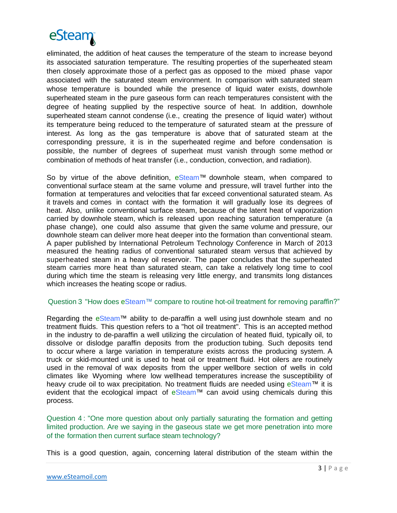# eSteam

eliminated, the addition of heat causes the temperature of the steam to increase beyond its associated saturation temperature. The resulting properties of the superheated steam then closely approximate those of a perfect gas as opposed to the mixed phase vapor associated with the saturated steam environment. In comparison with saturated steam whose temperature is bounded while the presence of liquid water exists, downhole superheated steam in the pure gaseous form can reach temperatures consistent with the degree of heating supplied by the respective source of heat. In addition, downhole superheated steam cannot condense (i.e., creating the presence of liquid water) without its temperature being reduced to the temperature of saturated steam at the pressure of interest. As long as the gas temperature is above that of saturated steam at the corresponding pressure, it is in the superheated regime and before condensation is possible, the number of degrees of superheat must vanish through some method or combination of methods of heat transfer (i.e., conduction, convection, and radiation).

So by virtue of the above definition, eSteam™ downhole steam, when compared to conventional surface steam at the same volume and pressure, will travel further into the formation at temperatures and velocities that far exceed conventional saturated steam. As it travels and comes in contact with the formation it will gradually lose its degrees of heat. Also, unlike conventional surface steam, because of the latent heat of vaporization carried by downhole steam, which is released upon reaching saturation temperature (a phase change), one could also assume that given the same volume and pressure, our downhole steam can deliver more heat deeper into the formation than conventional steam. A paper published by International Petroleum Technology Conference in March of 2013 measured the heating radius of conventional saturated steam versus that achieved by superheated steam in a heavy oil reservoir. The paper concludes that the superheated steam carries more heat than saturated steam, can take a relatively long time to cool during which time the steam is releasing very little energy, and transmits long distances which increases the heating scope or radius.

## Question 3 "How does eSteam™ compare to routine hot-oil treatment for removing paraffin?"

Regarding the eSteam™ ability to de-paraffin a well using just downhole steam and no treatment fluids. This question refers to a "hot oil treatment". This is an accepted method in the industry to de-paraffin a well utilizing the circulation of heated fluid, typically oil, to dissolve or dislodge paraffin deposits from the production tubing. Such deposits tend to occur where a large variation in temperature exists across the producing system. A truck or skid-mounted unit is used to heat oil or treatment fluid. Hot oilers are routinely used in the removal of wax deposits from the upper wellbore section of wells in cold climates like Wyoming where low wellhead temperatures increase the susceptibility of heavy crude oil to wax precipitation. No treatment fluids are needed using eSteam™ it is evident that the ecological impact of eSteam™ can avoid using chemicals during this process.

Question 4 : "One more question about only partially saturating the formation and getting limited production. Are we saying in the gaseous state we get more penetration into more of the formation then current surface steam technology?

This is a good question, again, concerning lateral distribution of the steam within the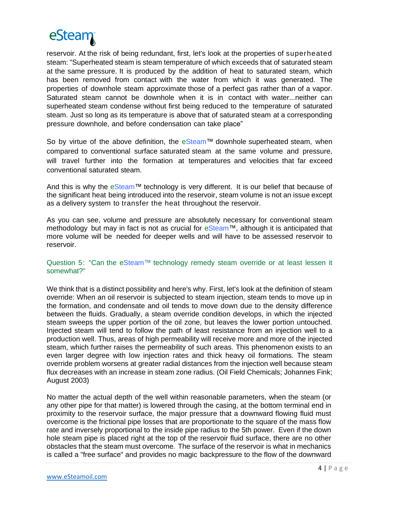

reservoir. At the risk of being redundant, first, let's look at the properties of superheated steam: "Superheated steam is steam temperature of which exceeds that of saturated steam at the same pressure. It is produced by the addition of heat to saturated steam, which has been removed from contact with the water from which it was generated. The properties of downhole steam approximate those of a perfect gas rather than of a vapor. Saturated steam cannot be downhole when it is in contact with water...neither can superheated steam condense without first being reduced to the temperature of saturated steam. Just so long as its temperature is above that of saturated steam at a corresponding pressure downhole, and before condensation can take place"

So by virtue of the above definition, the eSteam™ downhole superheated steam, when compared to conventional surface saturated steam at the same volume and pressure, will travel further into the formation at temperatures and velocities that far exceed conventional saturated steam.

And this is why the  $eStean^M$  technology is very different. It is our belief that because of the significant heat being introduced into the reservoir, steam volume is not an issue except as a delivery system to transfer the heat throughout the reservoir.

As you can see, volume and pressure are absolutely necessary for conventional steam methodology but may in fact is not as crucial for eSteam™, although it is anticipated that more volume will be needed for deeper wells and will have to be assessed reservoir to reservoir.

## Question 5: "Can the eSteam™ technology remedy steam override or at least lessen it somewhat?"

We think that is a distinct possibility and here's why. First, let's look at the definition of steam override: When an oil reservoir is subjected to steam injection, steam tends to move up in the formation, and condensate and oil tends to move down due to the density difference between the fluids. Gradually, a steam override condition develops, in which the injected steam sweeps the upper portion of the oil zone, but leaves the lower portion untouched. Injected steam will tend to follow the path of least resistance from an injection well to a production well. Thus, areas of high permeability will receive more and more of the injected steam, which further raises the permeability of such areas. This phenomenon exists to an even larger degree with low injection rates and thick heavy oil formations. The steam override problem worsens at greater radial distances from the injection well because steam flux decreases with an increase in steam zone radius. (Oil Field Chemicals; Johannes Fink; August 2003)

No matter the actual depth of the well within reasonable parameters, when the steam (or any other pipe for that matter) is lowered through the casing, at the bottom terminal end in proximity to the reservoir surface, the major pressure that a downward flowing fluid must overcome is the frictional pipe losses that are proportionate to the square of the mass flow rate and inversely proportional to the inside pipe radius to the 5th power. Even if the down hole steam pipe is placed right at the top of the reservoir fluid surface, there are no other obstacles that the steam must overcome. The surface of the reservoir is what in mechanics is called a "free surface" and provides no magic backpressure to the flow of the downward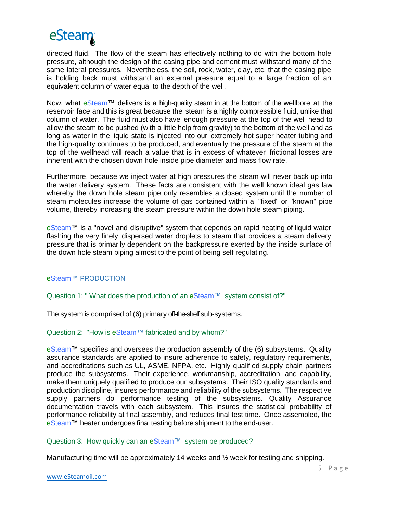

directed fluid. The flow of the steam has effectively nothing to do with the bottom hole pressure, although the design of the casing pipe and cement must withstand many of the same lateral pressures. Nevertheless, the soil, rock, water, clay, etc. that the casing pipe is holding back must withstand an external pressure equal to a large fraction of an equivalent column of water equal to the depth of the well.

Now, what eSteam™ delivers is a high-quality steam in at the bottom of the wellbore at the reservoir face and this is great because the steam is a highly compressible fluid, unlike that column of water. The fluid must also have enough pressure at the top of the well head to allow the steam to be pushed (with a little help from gravity) to the bottom of the well and as long as water in the liquid state is injected into our extremely hot super heater tubing and the high-quality continues to be produced, and eventually the pressure of the steam at the top of the wellhead will reach a value that is in excess of whatever frictional losses are inherent with the chosen down hole inside pipe diameter and mass flow rate.

Furthermore, because we inject water at high pressures the steam will never back up into the water delivery system. These facts are consistent with the well known ideal gas law whereby the down hole steam pipe only resembles a closed system until the number of steam molecules increase the volume of gas contained within a "fixed" or "known" pipe volume, thereby increasing the steam pressure within the down hole steam piping.

eSteam™ is a "novel and disruptive" system that depends on rapid heating of liquid water flashing the very finely dispersed water droplets to steam that provides a steam delivery pressure that is primarily dependent on the backpressure exerted by the inside surface of the down hole steam piping almost to the point of being self regulating.

eSteam™ PRODUCTION

Question 1: "What does the production of an eSteam™ system consist of?"

The system is comprised of (6) primary off-the-shelf sub-systems.

## Question 2: "How is eSteam™ fabricated and by whom?"

eSteam™ specifies and oversees the production assembly of the (6) subsystems. Quality assurance standards are applied to insure adherence to safety, regulatory requirements, and accreditations such as UL, ASME, NFPA, etc. Highly qualified supply chain partners produce the subsystems. Their experience, workmanship, accreditation, and capability, make them uniquely qualified to produce our subsystems. Their ISO quality standards and production discipline, insures performance and reliability of the subsystems. The respective supply partners do performance testing of the subsystems. Quality Assurance documentation travels with each subsystem. This insures the statistical probability of performance reliability at final assembly, and reduces final test time. Once assembled, the eSteam™ heater undergoes final testing before shipment to the end-user.

## Question 3: How quickly can an eSteam™ system be produced?

Manufacturing time will be approximately 14 weeks and ½ week for testing and shipping.